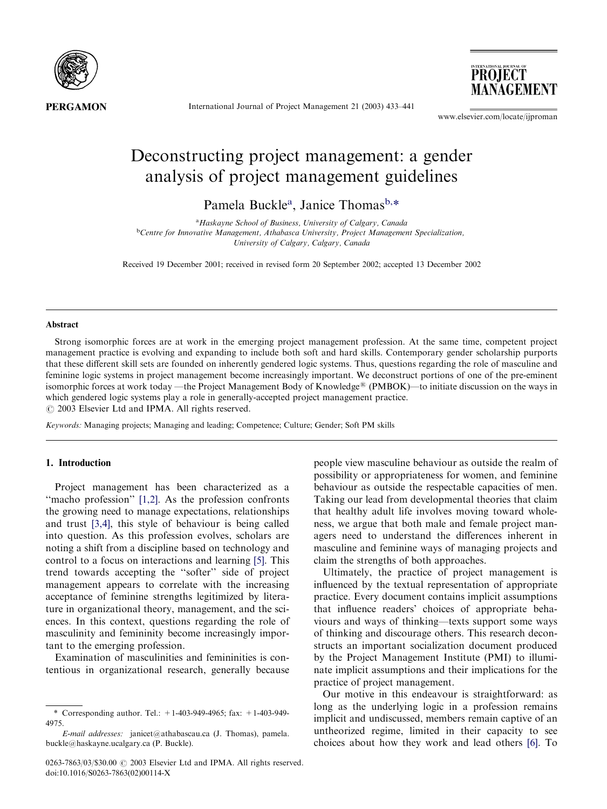

International Journal of Project Management 21(2003) 433–441

**PROJECT** MANAGEMENT

[www.elsevier.com/locate/ijproman](http://www.elsevier.com/locate/ijproman/a4.3d)

# Deconstructing project management: a gender analysis of project management guidelines

Pamela Buckle<sup>a</sup>, Janice Thomas<sup>b,\*</sup>

<sup>a</sup> Haskayne School of Business, University of Calgary, Canada <sup>b</sup>Centre for Innovative Management, Athabasca University, Project Management Specialization, University of Calgary, Calgary, Canada

Received 19 December 2001; received in revised form 20 September 2002; accepted 13 December 2002

#### Abstract

Strong isomorphic forces are at work in the emerging project management profession. At the same time, competent project management practice is evolving and expanding to include both soft and hard skills. Contemporary gender scholarship purports that these different skill sets are founded on inherently gendered logic systems. Thus, questions regarding the role of masculine and feminine logic systems in project management become increasingly important. We deconstruct portions of one of the pre-eminent isomorphic forces at work today —the Project Management Body of Knowledge<sup>®</sup> (PMBOK)—to initiate discussion on the ways in which gendered logic systems play a role in generally-accepted project management practice.  $\odot$  2003 Elsevier Ltd and IPMA. All rights reserved.

Keywords: Managing projects; Managing and leading; Competence; Culture; Gender; Soft PM skills

### 1. Introduction

Project management has been characterized as a "macho profession" [\[1,2\].](#page--1-0) As the profession confronts the growing need to manage expectations, relationships and trust [\[3,4\]](#page--1-0), this style of behaviour is being called into question. As this profession evolves, scholars are noting a shift from a discipline based on technology and control to a focus on interactions and learning [\[5\]](#page--1-0). This trend towards accepting the ''softer'' side of project management appears to correlate with the increasing acceptance of feminine strengths legitimized by literature in organizational theory, management, and the sciences. In this context, questions regarding the role of masculinity and femininity become increasingly important to the emerging profession.

Examination of masculinities and femininities is contentious in organizational research, generally because people view masculine behaviour as outside the realm of possibility or appropriateness for women, and feminine behaviour as outside the respectable capacities of men. Taking our lead from developmental theories that claim that healthy adult life involves moving toward wholeness, we argue that both male and female project managers need to understand the differences inherent in masculine and feminine ways of managing projects and claim the strengths of both approaches.

Ultimately, the practice of project management is influenced by the textual representation of appropriate practice. Every document contains implicit assumptions that influence readers' choices of appropriate behaviours and ways of thinking—texts support some ways of thinking and discourage others. This research deconstructs an important socialization document produced by the Project Management Institute (PMI) to illuminate implicit assumptions and their implications for the practice of project management.

Our motive in this endeavour is straightforward: as long as the underlying logic in a profession remains implicit and undiscussed, members remain captive of an untheorized regime, limited in their capacity to see choices about how they work and lead others [\[6\].](#page--1-0) To

<sup>\*</sup> Corresponding author. Tel.: +1-403-949-4965; fax: +1-403-949- 4975.

E-mail addresses: [janicet@athabascau.ca](mailto:janicet@athabascau.ca) (J. Thomas), [pamela.](mailto:pamela.buckle@haskayne.ucalgary.ca) [buckle@haskayne.ucalgary.ca](mailto:pamela.buckle@haskayne.ucalgary.ca) (P. Buckle).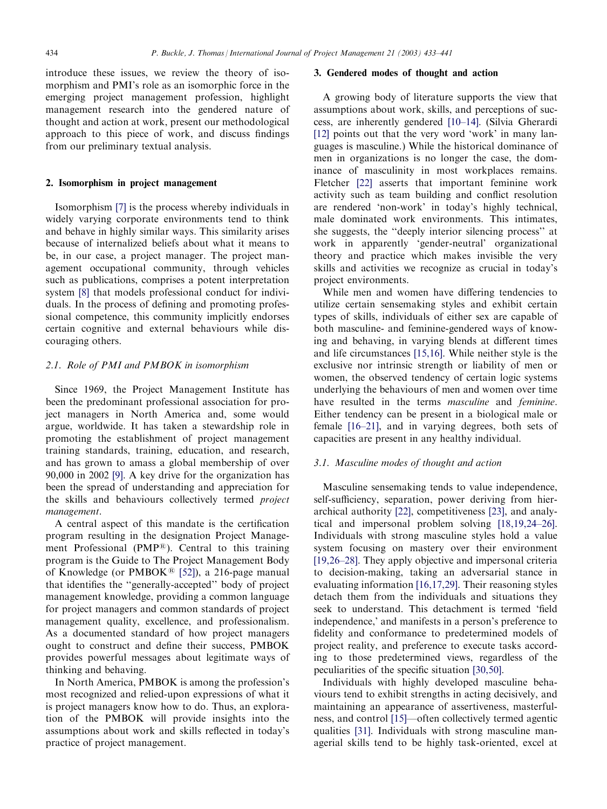introduce these issues, we review the theory of isomorphism and PMI's role as an isomorphic force in the emerging project management profession, highlight management research into the gendered nature of thought and action at work, present our methodological approach to this piece of work, and discuss findings from our preliminary textual analysis.

## 2. Isomorphism in project management

Isomorphism [\[7\]](#page--1-0) is the process whereby individuals in widely varying corporate environments tend to think and behave in highly similar ways. This similarity arises because of internalized beliefs about what it means to be, in our case, a project manager. The project management occupational community, through vehicles such as publications, comprises a potent interpretation system [\[8\]](#page--1-0) that models professional conduct for individuals. In the process of defining and promoting professional competence, this community implicitly endorses certain cognitive and external behaviours while discouraging others.

## 2.1. Role of PMI and PMBOK in isomorphism

Since 1969, the Project Management Institute has been the predominant professional association for project managers in North America and, some would argue, worldwide. It has taken a stewardship role in promoting the establishment of project management training standards, training, education, and research, and has grown to amass a global membership of over 90,000 in 2002 [\[9\].](#page--1-0) A key drive for the organization has been the spread of understanding and appreciation for the skills and behaviours collectively termed project management.

A central aspect of this mandate is the certification program resulting in the designation Project Management Professional (PMP®). Central to this training program is the Guide to The Project Management Body of Knowledge (or  $PMBOK^{\textcircled{R}}$  [\[52\]](#page--1-0)), a 216-page manual that identifies the ''generally-accepted'' body of project management knowledge, providing a common language for project managers and common standards of project management quality, excellence, and professionalism. As a documented standard of how project managers ought to construct and define their success, PMBOK provides powerful messages about legitimate ways of thinking and behaving.

In North America, PMBOK is among the profession's most recognized and relied-upon expressions of what it is project managers know how to do. Thus, an exploration of the PMBOK will provide insights into the assumptions about work and skills reflected in today's practice of project management.

## 3. Gendered modes of thought and action

A growing body of literature supports the view that assumptions about work, skills, and perceptions of success, are inherently gendered [\[10–14\]](#page--1-0). (Silvia Gherardi [\[12\]](#page--1-0) points out that the very word 'work' in many languages is masculine.) While the historical dominance of men in organizations is no longer the case, the dominance of masculinity in most workplaces remains. Fletcher [\[22\]](#page--1-0) asserts that important feminine work activity such as team building and conflict resolution are rendered 'non-work' in today's highly technical, male dominated work environments. This intimates, she suggests, the ''deeply interior silencing process'' at work in apparently 'gender-neutral' organizational theory and practice which makes invisible the very skills and activities we recognize as crucial in today's project environments.

While men and women have differing tendencies to utilize certain sensemaking styles and exhibit certain types of skills, individuals of either sex are capable of both masculine- and feminine-gendered ways of knowing and behaving, in varying blends at different times and life circumstances [\[15,16\]](#page--1-0). While neither style is the exclusive nor intrinsic strength or liability of men or women, the observed tendency of certain logic systems underlying the behaviours of men and women over time have resulted in the terms *masculine* and *feminine*. Either tendency can be present in a biological male or female [\[16–21\],](#page--1-0) and in varying degrees, both sets of capacities are present in any healthy individual.

### 3.1. Masculine modes of thought and action

Masculine sensemaking tends to value independence, self-sufficiency, separation, power deriving from hierarchical authority [\[22\]](#page--1-0), competitiveness [\[23\],](#page--1-0) and analytical and impersonal problem solving [\[18,19,24–26\]](#page--1-0). Individuals with strong masculine styles hold a value system focusing on mastery over their environment [\[19,26–28\].](#page--1-0) They apply objective and impersonal criteria to decision-making, taking an adversarial stance in evaluating information [\[16,17,29\]](#page--1-0). Their reasoning styles detach them from the individuals and situations they seek to understand. This detachment is termed 'field independence,' and manifests in a person's preference to fidelity and conformance to predetermined models of project reality, and preference to execute tasks according to those predetermined views, regardless of the peculiarities of the specific situation [\[30,50\].](#page--1-0)

Individuals with highly developed masculine behaviours tend to exhibit strengths in acting decisively, and maintaining an appearance of assertiveness, masterfulness, and control [\[15\]](#page--1-0)—often collectively termed agentic qualities [\[31\]](#page--1-0). Individuals with strong masculine managerial skills tend to be highly task-oriented, excel at